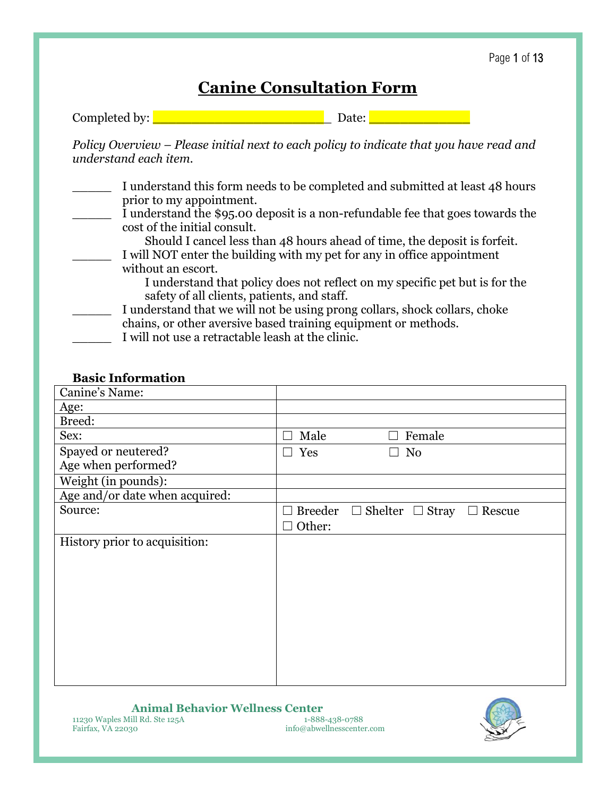# **Canine Consultation Form**

| Completed by: |  |  |
|---------------|--|--|

*Policy Overview – Please initial next to each policy to indicate that you have read and understand each item.* 

- I understand this form needs to be completed and submitted at least 48 hours prior to my appointment. I understand the \$95.00 deposit is a non-refundable fee that goes towards the cost of the initial consult. Should I cancel less than 48 hours ahead of time, the deposit is forfeit. I will NOT enter the building with my pet for any in office appointment without an escort. I understand that policy does not reflect on my specific pet but is for the safety of all clients, patients, and staff. I understand that we will not be using prong collars, shock collars, choke chains, or other aversive based training equipment or methods.
	- I will not use a retractable leash at the clinic.

#### **Basic Information**

| Male<br>Female<br>$\mathsf{L}$                          |
|---------------------------------------------------------|
| Yes<br>No<br>$\Box$                                     |
|                                                         |
|                                                         |
|                                                         |
| <b>Breeder</b><br>$\Box$ Shelter $\Box$ Stray<br>Rescue |
| Other:                                                  |
|                                                         |
|                                                         |
|                                                         |
|                                                         |
|                                                         |
|                                                         |
|                                                         |
|                                                         |
|                                                         |
|                                                         |
|                                                         |

info@abwellnesscenter.com

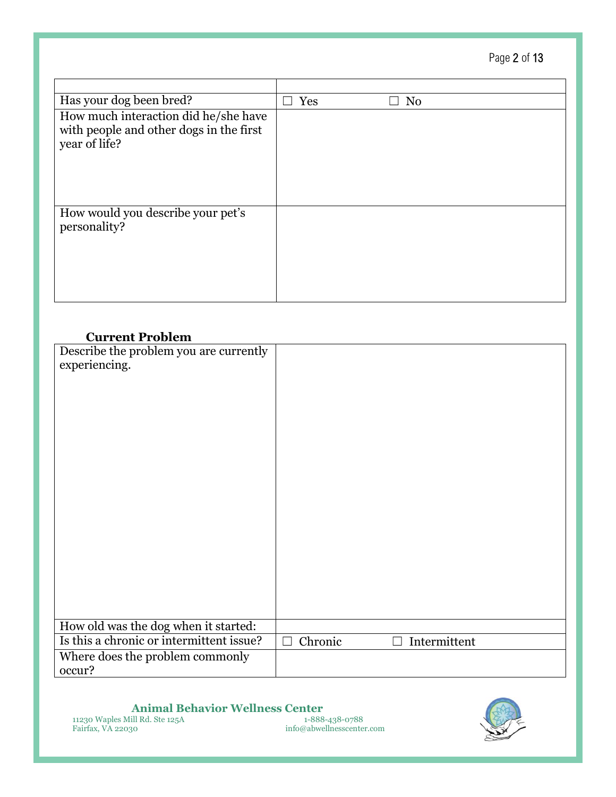Page 2 of 13

| Has your dog been bred?                                                                          | Yes | N <sub>0</sub> |
|--------------------------------------------------------------------------------------------------|-----|----------------|
| How much interaction did he/she have<br>with people and other dogs in the first<br>year of life? |     |                |
| How would you describe your pet's<br>personality?                                                |     |                |

### **Current Problem**

| Describe the problem you are currently   |                         |
|------------------------------------------|-------------------------|
| experiencing.                            |                         |
|                                          |                         |
|                                          |                         |
|                                          |                         |
|                                          |                         |
|                                          |                         |
|                                          |                         |
|                                          |                         |
|                                          |                         |
|                                          |                         |
|                                          |                         |
|                                          |                         |
|                                          |                         |
|                                          |                         |
|                                          |                         |
|                                          |                         |
|                                          |                         |
| How old was the dog when it started:     |                         |
| Is this a chronic or intermittent issue? | Chronic<br>Intermittent |
| Where does the problem commonly          |                         |
| occur?                                   |                         |

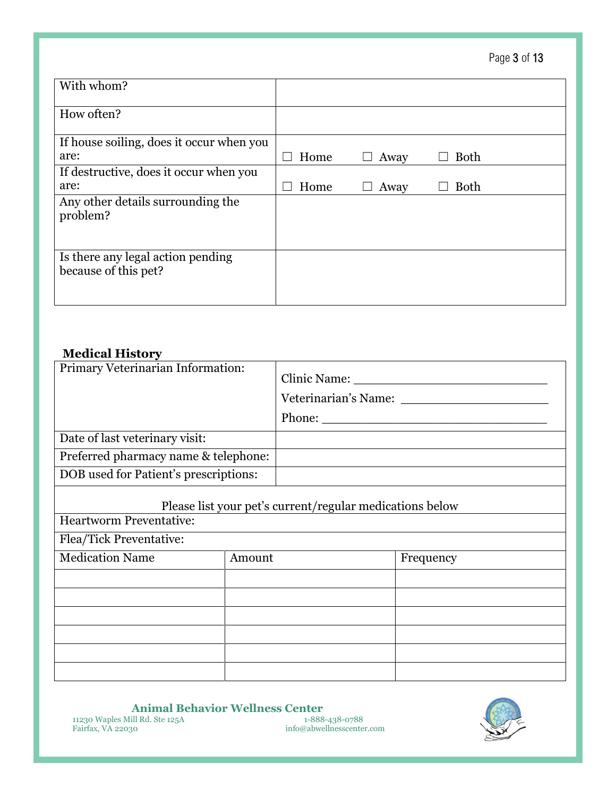| Page 3 of 13 |  |  |  |
|--------------|--|--|--|
|--------------|--|--|--|

| With whom?                                                |      |      |             |  |
|-----------------------------------------------------------|------|------|-------------|--|
| How often?                                                |      |      |             |  |
| If house soiling, does it occur when you                  |      |      |             |  |
| are:                                                      | Home | Away | <b>Both</b> |  |
| If destructive, does it occur when you                    |      |      |             |  |
| are:                                                      | Home | Away | <b>Both</b> |  |
| Any other details surrounding the<br>problem?             |      |      |             |  |
| Is there any legal action pending<br>because of this pet? |      |      |             |  |

### **Medical History**

| Primary Veterinarian Information:     | Clinic Name:<br>Veterinarian's Name:<br>Phone: $\qquad \qquad$ |
|---------------------------------------|----------------------------------------------------------------|
| Date of last veterinary visit:        |                                                                |
| Preferred pharmacy name & telephone:  |                                                                |
| DOB used for Patient's prescriptions: |                                                                |

# Please list your pet's current/regular medications below

Heartworm Preventative:

Flea/Tick Preventative:

| Medication Name | Amount | Frequency |
|-----------------|--------|-----------|
|                 |        |           |
|                 |        |           |
|                 |        |           |
|                 |        |           |
|                 |        |           |
|                 |        |           |

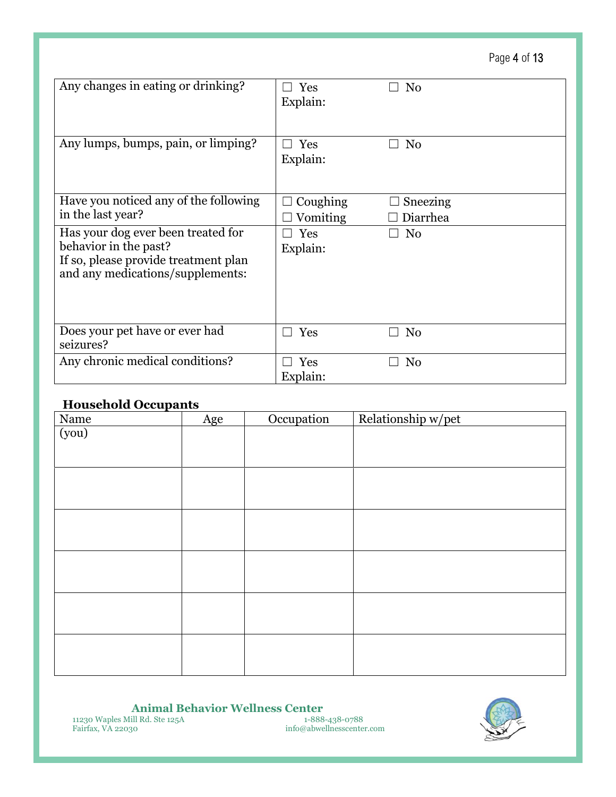Page 4 of 13

| Any changes in eating or drinking?                                                                                                      | Yes<br>Explain:      | N <sub>0</sub>       |
|-----------------------------------------------------------------------------------------------------------------------------------------|----------------------|----------------------|
| Any lumps, bumps, pain, or limping?                                                                                                     | Yes<br>Explain:      | N <sub>0</sub>       |
| Have you noticed any of the following<br>in the last year?                                                                              | Coughing<br>Vomiting | Sneezing<br>Diarrhea |
| Has your dog ever been treated for<br>behavior in the past?<br>If so, please provide treatment plan<br>and any medications/supplements: | Yes<br>Explain:      | N <sub>0</sub>       |
| Does your pet have or ever had<br>seizures?                                                                                             | Yes                  | N <sub>0</sub>       |
| Any chronic medical conditions?                                                                                                         | Yes<br>Explain:      | N <sub>0</sub>       |

#### **Household Occupants**

| - - - -       | Age | Occupation | Relationship w/pet |
|---------------|-----|------------|--------------------|
| Name<br>(you) |     |            |                    |
|               |     |            |                    |
|               |     |            |                    |
|               |     |            |                    |
|               |     |            |                    |
|               |     |            |                    |
|               |     |            |                    |
|               |     |            |                    |
|               |     |            |                    |
|               |     |            |                    |
|               |     |            |                    |
|               |     |            |                    |
|               |     |            |                    |

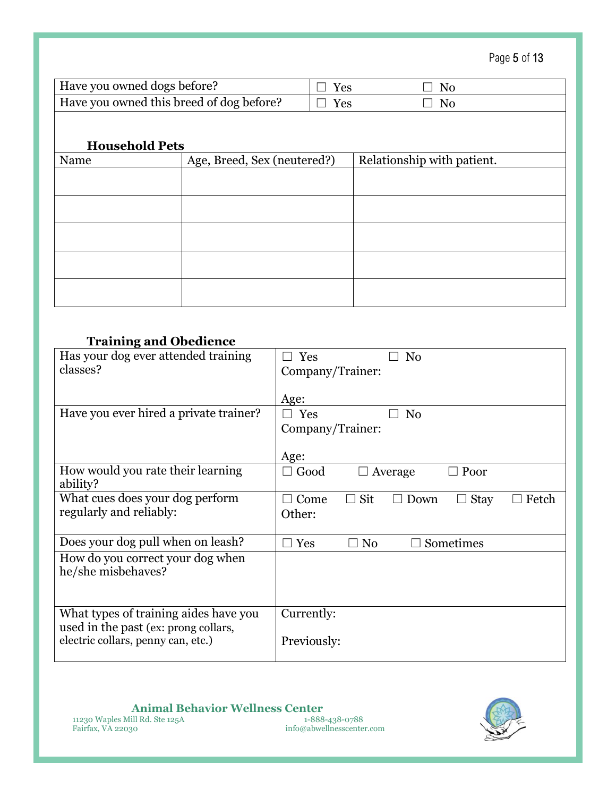Page 5 of 13

| Have you owned dogs before?              | $\Box$ Yes | ∃ No |
|------------------------------------------|------------|------|
| Have you owned this breed of dog before? | $\Box$ Yes | No   |

#### **Household Pets**

| Name | Age, Breed, Sex (neutered?) | Relationship with patient. |
|------|-----------------------------|----------------------------|
|      |                             |                            |
|      |                             |                            |
|      |                             |                            |
|      |                             |                            |
|      |                             |                            |
|      |                             |                            |
|      |                             |                            |
|      |                             |                            |

### **Training and Obedience**

| Has your dog ever attended training    | Yes<br>N <sub>0</sub>                                                       |
|----------------------------------------|-----------------------------------------------------------------------------|
| classes?                               | Company/Trainer:                                                            |
|                                        |                                                                             |
|                                        | Age:                                                                        |
| Have you ever hired a private trainer? | $\Box$ Yes<br>N <sub>0</sub>                                                |
|                                        | Company/Trainer:                                                            |
|                                        |                                                                             |
|                                        | Age:                                                                        |
| How would you rate their learning      | $\Box$ Good<br>$\Box$ Poor<br>Average                                       |
| ability?                               |                                                                             |
| What cues does your dog perform        | $\Box$ Sit<br>$\Box$ Come<br><b>Stay</b><br>$\Box$ Down<br>Fetch<br>$\perp$ |
| regularly and reliably:                | Other:                                                                      |
|                                        |                                                                             |
| Does your dog pull when on leash?      | Sometimes<br>Yes<br>N <sub>0</sub>                                          |
| How do you correct your dog when       |                                                                             |
| he/she misbehaves?                     |                                                                             |
|                                        |                                                                             |
|                                        |                                                                             |
| What types of training aides have you  | Currently:                                                                  |
| used in the past (ex: prong collars,   |                                                                             |
| electric collars, penny can, etc.)     | Previously:                                                                 |
|                                        |                                                                             |

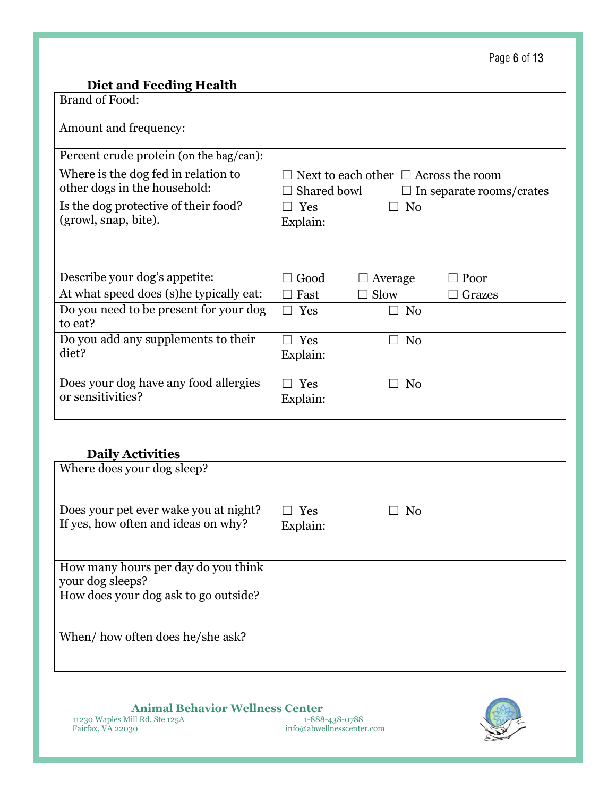## **Diet and Feeding Health**

| Brand of Food:                                                      |                                                                                      |
|---------------------------------------------------------------------|--------------------------------------------------------------------------------------|
| Amount and frequency:                                               |                                                                                      |
| Percent crude protein (on the bag/can):                             |                                                                                      |
| Where is the dog fed in relation to<br>other dogs in the household: | Next to each other $\Box$ Across the room<br>Shared bowl<br>In separate rooms/crates |
| Is the dog protective of their food?<br>(growl, snap, bite).        | N <sub>0</sub><br>Yes<br>Explain:                                                    |
| Describe your dog's appetite:                                       | Good<br>Poor<br>Average                                                              |
| At what speed does (s) he typically eat:                            | Slow<br>Fast<br>Grazes                                                               |
| Do you need to be present for your dog<br>to eat?                   | Yes<br>No<br>$\Box$                                                                  |
| Do you add any supplements to their<br>diet?                        | Yes<br>N <sub>0</sub><br>$\Box$<br>Explain:                                          |
| Does your dog have any food allergies<br>or sensitivities?          | Yes<br>No<br>Explain:                                                                |

### **Daily Activities**

| Where does your dog sleep?            |                         |
|---------------------------------------|-------------------------|
| Does your pet ever wake you at night? | l Yes<br>N <sub>0</sub> |
| If yes, how often and ideas on why?   | Explain:                |
|                                       |                         |
| How many hours per day do you think   |                         |
| your dog sleeps?                      |                         |
| How does your dog ask to go outside?  |                         |
|                                       |                         |
|                                       |                         |
| When/how often does he/she ask?       |                         |
|                                       |                         |
|                                       |                         |

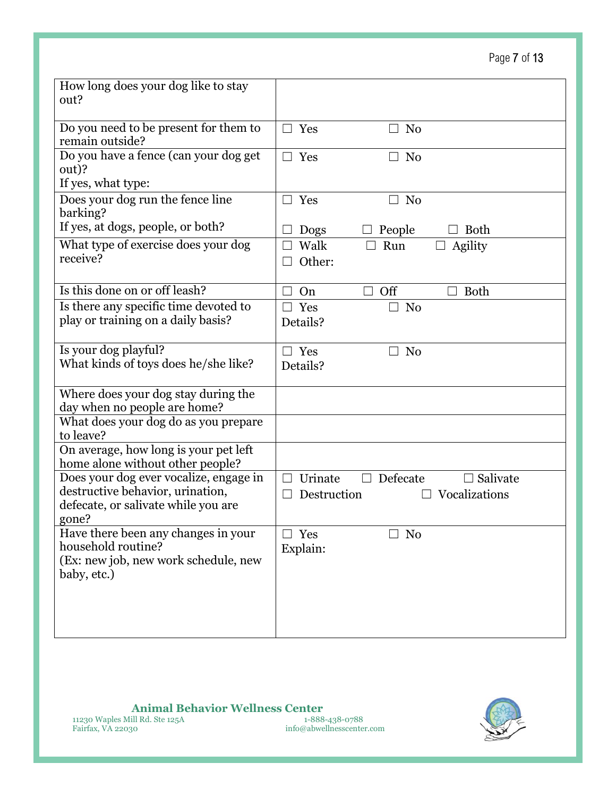# Page 7 of 13

| How long does your dog like to stay<br>out?                                                                                |                                                                 |
|----------------------------------------------------------------------------------------------------------------------------|-----------------------------------------------------------------|
|                                                                                                                            |                                                                 |
| Do you need to be present for them to<br>remain outside?                                                                   | Yes<br>N <sub>0</sub><br>$\mathcal{L}$                          |
| Do you have a fence (can your dog get<br>out)?                                                                             | Yes<br>N <sub>0</sub><br>$\Box$                                 |
| If yes, what type:                                                                                                         |                                                                 |
| Does your dog run the fence line<br>barking?                                                                               | Yes<br>N <sub>0</sub><br>H                                      |
| If yes, at dogs, people, or both?                                                                                          | <b>Both</b><br>People<br>Dogs                                   |
| What type of exercise does your dog<br>receive?                                                                            | Walk<br>Run<br>Agility<br>Other:                                |
| Is this done on or off leash?                                                                                              | Off<br><b>Both</b><br>On                                        |
| Is there any specific time devoted to                                                                                      | Yes<br>N <sub>0</sub><br>×                                      |
| play or training on a daily basis?                                                                                         | Details?                                                        |
| Is your dog playful?<br>What kinds of toys does he/she like?                                                               | Yes<br>No<br>$\mathcal{L}$<br>Details?                          |
| Where does your dog stay during the<br>day when no people are home?                                                        |                                                                 |
| What does your dog do as you prepare<br>to leave?                                                                          |                                                                 |
| On average, how long is your pet left<br>home alone without other people?                                                  |                                                                 |
| Does your dog ever vocalize, engage in<br>destructive behavior, urination,<br>defecate, or salivate while you are<br>gone? | Defecate<br>Salivate<br>Urinate<br>Vocalizations<br>Destruction |
| Have there been any changes in your<br>household routine?<br>(Ex: new job, new work schedule, new<br>baby, etc.)           | Yes<br>N <sub>0</sub><br>Explain:                               |

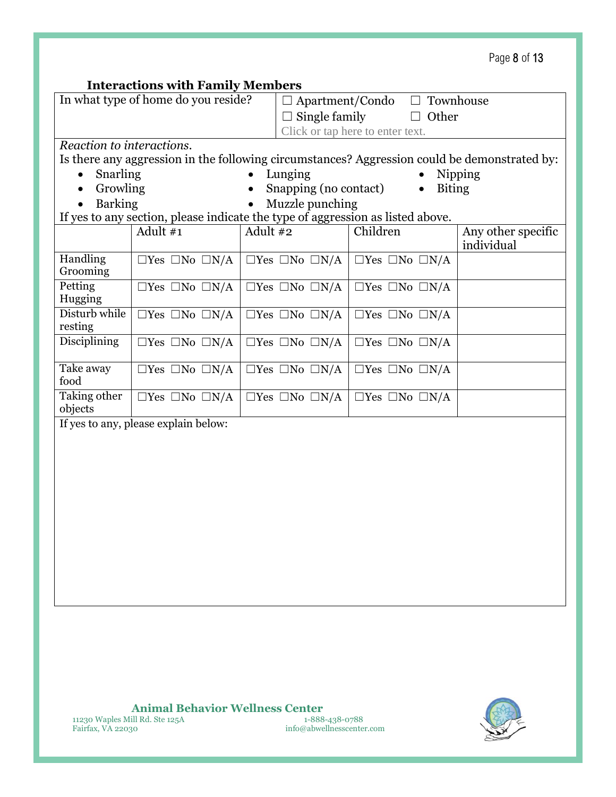| Page 8 of 13 |  |  |  |
|--------------|--|--|--|
|--------------|--|--|--|

### **Interactions with Family Members**

| micraetions with rainity members |                                                                                              |                      |                                  |                                 |                            |                                  |
|----------------------------------|----------------------------------------------------------------------------------------------|----------------------|----------------------------------|---------------------------------|----------------------------|----------------------------------|
|                                  | In what type of home do you reside?                                                          |                      | $\Box$ Apartment/Condo           |                                 | $\Box$ Townhouse           |                                  |
|                                  |                                                                                              | $\Box$ Single family |                                  |                                 | $\Box$ Other               |                                  |
|                                  |                                                                                              |                      | Click or tap here to enter text. |                                 |                            |                                  |
| Reaction to interactions.        |                                                                                              |                      |                                  |                                 |                            |                                  |
|                                  | Is there any aggression in the following circumstances? Aggression could be demonstrated by: |                      |                                  |                                 |                            |                                  |
| Snarling<br>$\bullet$            |                                                                                              | $\bullet$            | Lunging                          |                                 | $\bullet$                  | Nipping                          |
| Growling<br>$\bullet$            |                                                                                              |                      | Snapping (no contact)            |                                 | <b>Biting</b><br>$\bullet$ |                                  |
| <b>Barking</b>                   |                                                                                              |                      | Muzzle punching                  |                                 |                            |                                  |
|                                  | If yes to any section, please indicate the type of aggression as listed above.               |                      |                                  |                                 |                            |                                  |
|                                  | Adult $#1$                                                                                   | Adult $#2$           |                                  | Children                        |                            | Any other specific<br>individual |
| <b>Handling</b><br>Grooming      | $\Box$ Yes $\Box$ No $\Box$ N/A                                                              |                      | $\Box$ Yes $\Box$ No $\Box$ N/A  | $\Box$ Yes $\Box$ No $\Box$ N/A |                            |                                  |
| Petting<br>Hugging               | $\Box$ Yes $\Box$ No $\Box$ N/A                                                              |                      | $\Box$ Yes $\Box$ No $\Box$ N/A  | $\Box$ Yes $\Box$ No $\Box$ N/A |                            |                                  |
| Disturb while<br>resting         | $\Box$ Yes $\Box$ No $\Box$ N/A                                                              |                      | $\Box$ Yes $\Box$ No $\Box$ N/A  | $\Box$ Yes $\Box$ No $\Box$ N/A |                            |                                  |
| <b>Disciplining</b>              | $\Box$ Yes $\Box$ No $\Box$ N/A                                                              |                      | $\Box$ Yes $\Box$ No $\Box$ N/A  | $\Box$ Yes $\Box$ No $\Box$ N/A |                            |                                  |
| Take away<br>food                | $\Box$ Yes $\Box$ No $\Box$ N/A                                                              |                      | $\Box$ Yes $\Box$ No $\Box$ N/A  | $\Box$ Yes $\Box$ No $\Box$ N/A |                            |                                  |
| Taking other<br>objects          | $\Box$ Yes $\Box$ No $\Box$ N/A                                                              |                      | $\Box$ Yes $\Box$ No $\Box$ N/A  | $\Box$ Yes $\Box$ No $\Box$ N/A |                            |                                  |

If yes to any, please explain below:

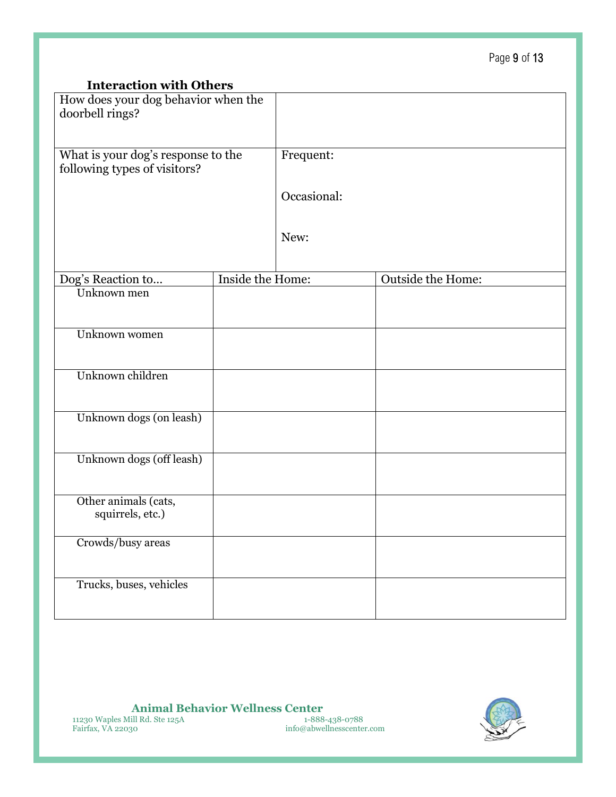### **Interaction with Others**

| How does your dog behavior when the<br>doorbell rings?             |                  |             |                   |  |
|--------------------------------------------------------------------|------------------|-------------|-------------------|--|
| What is your dog's response to the<br>following types of visitors? |                  | Frequent:   |                   |  |
|                                                                    |                  | Occasional: |                   |  |
|                                                                    |                  | New:        |                   |  |
|                                                                    |                  |             |                   |  |
| Dog's Reaction to                                                  | Inside the Home: |             | Outside the Home: |  |
| Unknown men                                                        |                  |             |                   |  |
| Unknown women                                                      |                  |             |                   |  |
|                                                                    |                  |             |                   |  |
| Unknown children                                                   |                  |             |                   |  |
| Unknown dogs (on leash)                                            |                  |             |                   |  |
| Unknown dogs (off leash)                                           |                  |             |                   |  |
| Other animals (cats,<br>squirrels, etc.)                           |                  |             |                   |  |
| Crowds/busy areas                                                  |                  |             |                   |  |
| Trucks, buses, vehicles                                            |                  |             |                   |  |

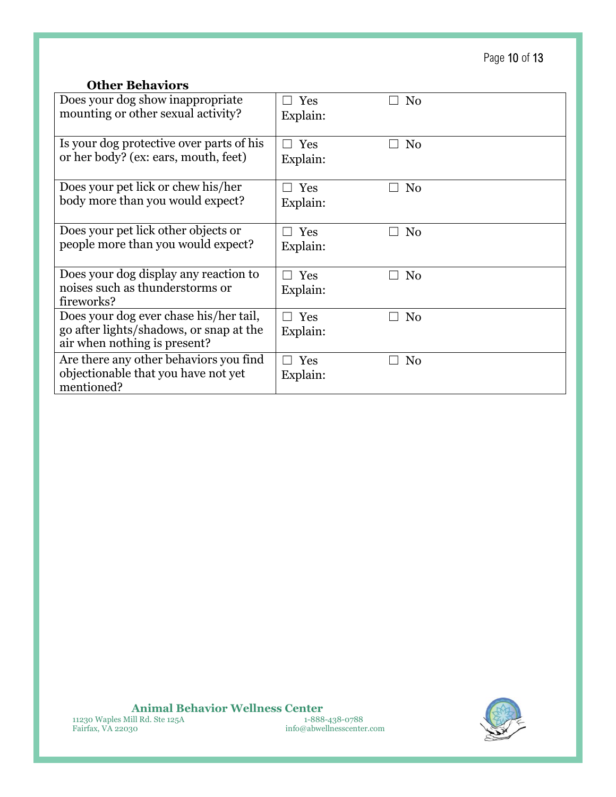Page 10 of 13

## **Other Behaviors**

| Does your dog show inappropriate<br>mounting or other sexual activity?                                            | Yes<br>Explain:                 | N <sub>0</sub>                 |
|-------------------------------------------------------------------------------------------------------------------|---------------------------------|--------------------------------|
| Is your dog protective over parts of his<br>or her body? (ex: ears, mouth, feet)                                  | Yes<br>Explain:                 | No                             |
| Does your pet lick or chew his/her<br>body more than you would expect?                                            | Yes<br>Explain:                 | N <sub>0</sub>                 |
| Does your pet lick other objects or<br>people more than you would expect?                                         | Yes<br>Explain:                 | N <sub>0</sub>                 |
| Does your dog display any reaction to<br>noises such as thunderstorms or<br>fireworks?                            | Yes<br>Explain:                 | N <sub>0</sub>                 |
| Does your dog ever chase his/her tail,<br>go after lights/shadows, or snap at the<br>air when nothing is present? | Yes<br>$\mathsf{L}$<br>Explain: | N <sub>0</sub>                 |
| Are there any other behaviors you find<br>objectionable that you have not yet<br>mentioned?                       | $\Box$ Yes<br>Explain:          | N <sub>0</sub><br>$\mathsf{L}$ |

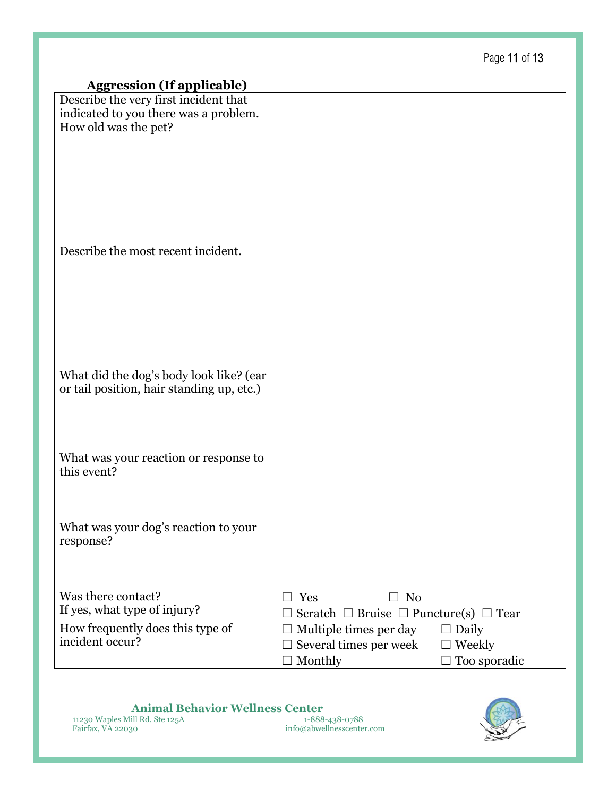|                                                                                                        | . ago o. . o                                         |
|--------------------------------------------------------------------------------------------------------|------------------------------------------------------|
| <b>Aggression (If applicable)</b>                                                                      |                                                      |
| Describe the very first incident that<br>indicated to you there was a problem.<br>How old was the pet? |                                                      |
| Describe the most recent incident.                                                                     |                                                      |
|                                                                                                        |                                                      |
| What did the dog's body look like? (ear                                                                |                                                      |
| or tail position, hair standing up, etc.)                                                              |                                                      |
| What was your reaction or response to                                                                  |                                                      |
| this event?                                                                                            |                                                      |
| What was your dog's reaction to your<br>response?                                                      |                                                      |
| Was there contact?                                                                                     | Yes<br>No<br>П                                       |
| If yes, what type of injury?                                                                           | Scratch $\Box$ Bruise $\Box$ Puncture(s) $\Box$ Tear |
| How frequently does this type of                                                                       | Multiple times per day<br>Daily                      |
| incident occur?                                                                                        | Several times per week<br>Weekly                     |
|                                                                                                        | Monthly<br>Too sporadic                              |

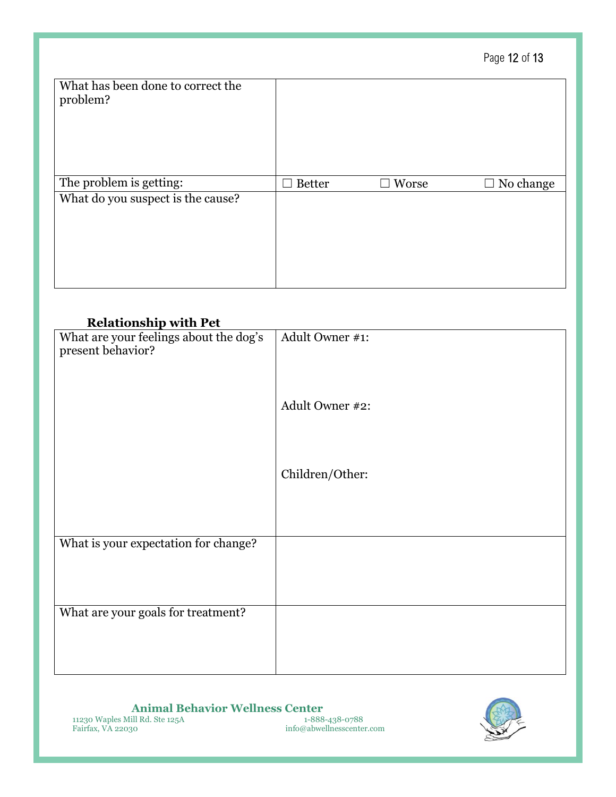|                                               |               |                 | Page 12 of 13    |
|-----------------------------------------------|---------------|-----------------|------------------|
| What has been done to correct the<br>problem? |               |                 |                  |
| The problem is getting:                       | <b>Better</b> | $\square$ Worse | $\Box$ No change |
| What do you suspect is the cause?             |               |                 |                  |

### **Relationship with Pet**

| waanommp waar i di<br>What are your feelings about the dog's | Adult Owner #1: |
|--------------------------------------------------------------|-----------------|
|                                                              |                 |
| present behavior?                                            |                 |
|                                                              |                 |
|                                                              |                 |
|                                                              |                 |
|                                                              | Adult Owner #2: |
|                                                              |                 |
|                                                              |                 |
|                                                              |                 |
|                                                              |                 |
|                                                              |                 |
|                                                              | Children/Other: |
|                                                              |                 |
|                                                              |                 |
|                                                              |                 |
|                                                              |                 |
|                                                              |                 |
| What is your expectation for change?                         |                 |
|                                                              |                 |
|                                                              |                 |
|                                                              |                 |
|                                                              |                 |
| What are your goals for treatment?                           |                 |
|                                                              |                 |
|                                                              |                 |
|                                                              |                 |
|                                                              |                 |
|                                                              |                 |